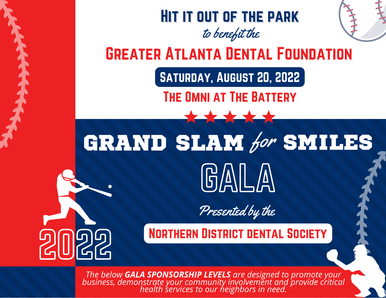

*The below GALA SPONSORSHIP LEVELS are designed to promote your business, demonstrate your community involvement and provide critical health services to our neighbors in need.*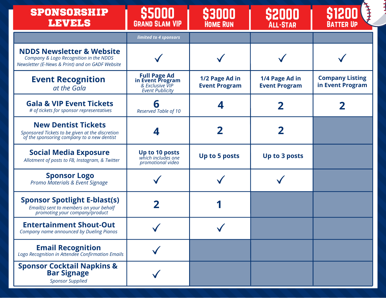| <b>SPONSORSHIP</b><br><b>LEVELS</b>                                                                                               | \$5000<br><b>GRAND SLAM VIP</b>                                                       | 55111111<br><b>HOME RUN</b>            | <b>S2000</b><br><b>ALL-STAR</b>        | <b>BATTER UP</b>                           |
|-----------------------------------------------------------------------------------------------------------------------------------|---------------------------------------------------------------------------------------|----------------------------------------|----------------------------------------|--------------------------------------------|
|                                                                                                                                   | limited to 4 sponsors                                                                 |                                        |                                        |                                            |
| <b>NDDS Newsletter &amp; Website</b><br>Company & Logo Recognition in the NDDS<br>Newsletter (E-News & Print) and on GADF Website |                                                                                       |                                        |                                        |                                            |
| <b>Event Recognition</b><br>at the Gala                                                                                           | <b>Full Page Ad<br/>in Event Program</b><br>& Exclusive VIP<br><b>Event Publicity</b> | 1/2 Page Ad in<br><b>Event Program</b> | 1/4 Page Ad in<br><b>Event Program</b> | <b>Company Listing</b><br>in Event Program |
| <b>Gala &amp; VIP Event Tickets</b><br># of tickets for sponsor representatives                                                   | 0<br>Reserved Table of 10                                                             |                                        |                                        |                                            |
| <b>New Dentist Tickets</b><br>Sponsored Tickets to be given at the discretion<br>of the sponsoring company to a new dentist       |                                                                                       |                                        |                                        |                                            |
| <b>Social Media Exposure</b><br>Allotment of posts to FB, Instagram, & Twitter                                                    | <b>Up to 10 posts</b><br>which includes one<br>promotional video                      | Up to 5 posts                          | Up to 3 posts                          |                                            |
| <b>Sponsor Logo</b><br>Promo Materials & Event Signage                                                                            |                                                                                       |                                        |                                        |                                            |
| <b>Sponsor Spotlight E-blast(s)</b><br>Email(s) sent to members on your behalf<br>promoting your company/product                  |                                                                                       |                                        |                                        |                                            |
| <b>Entertainment Shout-Out</b><br>Company name announced by Dueling Pianos                                                        |                                                                                       |                                        |                                        |                                            |
| <b>Email Recognition</b><br>Logo Recognition in Attendee Confirmation Emails                                                      |                                                                                       |                                        |                                        |                                            |
| <b>Sponsor Cocktail Napkins &amp;<br/>Bar Signage</b><br><b>Sponsor Supplied</b>                                                  |                                                                                       |                                        |                                        |                                            |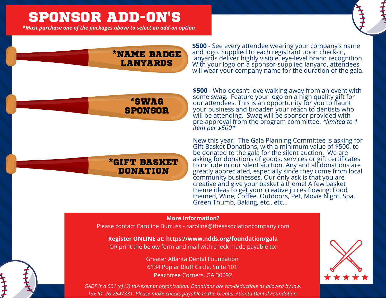# SPONSOR ADD-ON's

*\*Must purchase one of the packages above to select an add-on option*



### \*NAME BADGE LANYARDS

**\$500** - See every attendee wearing your company's name and logo. Supplied to each registrant upon check-in, lanyards deliver highly visible, eye-level brand recognition. With your logo on a sponsor-supplied lanyard, attendees will wear your company name for the duration of the gala.

### \*SWAG **SPONSOR**

\*GIFT BASKET **DONATION** 

**\$500** - Who doesn't love walking away from an event with some swag. Feature your logo on a high quality gift for our attendees. This is an opportunity for you to flaunt your business and broaden your reach to dentists who will be attending. Swag will be sponsor provided with pre-approval from the program committee. *\*limited to 1 item per \$500\**

New this year! The Gala Planning Committee is asking for Gift Basket Donations, with a minimum value of \$500, to be donated to the gala for the silent auction. We are asking for donations of goods, services or gift certificates to include in our silent auction. Any and all donations are greatly appreciated, especially since they come from local community businesses. Our only ask is that you are creative and give your basket a theme! A few basket theme ideas to get your creative juices flowing: Food themed, Wine, Coffee, Outdoors, Pet, Movie Night, Spa, Green Thumb, Baking, etc., etc…

#### **More Information?**

*To be supplied by sponsor* Please contact Caroline Burruss - caroline@theassociationcompany.com

#### *Product to be approved by Committee* **Register ONLINE at: https://www.ndds.org/foundation/gala**

OR print the below form and mail with check made payable to:

Greater Atlanta Dental Foundation 6134 Poplar Bluff Circle, Suite 101 Peachtree Corners, GA 30092



*GADF is a 501 (c) (3) tax-exempt organization. Donations are tax-deductible as allowed by law. Tax ID: 26-2647331. Please make checks payable to the Greater Atlanta Dental Foundation.*